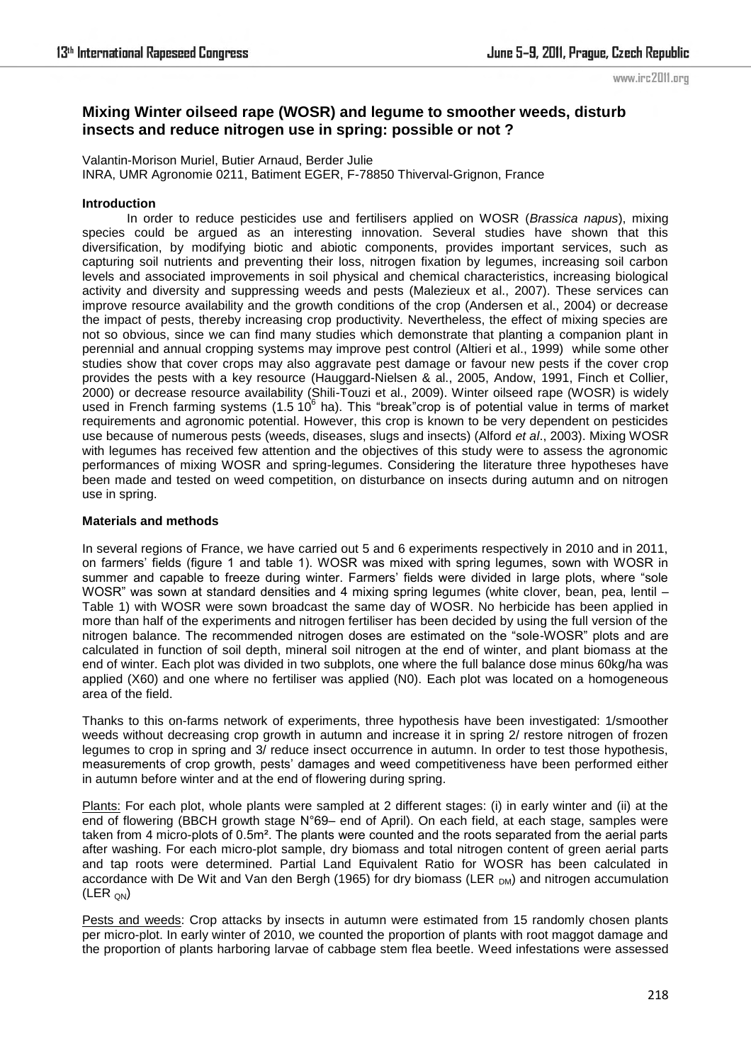# **Mixing Winter oilseed rape (WOSR) and legume to smoother weeds, disturb insects and reduce nitrogen use in spring: possible or not ?**

Valantin-Morison Muriel, Butier Arnaud, Berder Julie INRA, UMR Agronomie 0211, Batiment EGER, F-78850 Thiverval-Grignon, France

### **Introduction**

 In order to reduce pesticides use and fertilisers applied on WOSR (*Brassica napus*), mixing species could be argued as an interesting innovation. Several studies have shown that this diversification, by modifying biotic and abiotic components, provides important services, such as capturing soil nutrients and preventing their loss, nitrogen fixation by legumes, increasing soil carbon levels and associated improvements in soil physical and chemical characteristics, increasing biological activity and diversity and suppressing weeds and pests (Malezieux et al., 2007). These services can improve resource availability and the growth conditions of the crop (Andersen et al., 2004) or decrease the impact of pests, thereby increasing crop productivity. Nevertheless, the effect of mixing species are not so obvious, since we can find many studies which demonstrate that planting a companion plant in perennial and annual cropping systems may improve pest control (Altieri et al., 1999) while some other studies show that cover crops may also aggravate pest damage or favour new pests if the cover crop provides the pests with a key resource (Hauggard-Nielsen & al., 2005, Andow, 1991, Finch et Collier, 2000) or decrease resource availability (Shili-Touzi et al., 2009). Winter oilseed rape (WOSR) is widely used in French farming systems (1.5 10 $^6$  ha). This "break" crop is of potential value in terms of market requirements and agronomic potential. However, this crop is known to be very dependent on pesticides use because of numerous pests (weeds, diseases, slugs and insects) (Alford *et al*., 2003). Mixing WOSR with legumes has received few attention and the objectives of this study were to assess the agronomic performances of mixing WOSR and spring-legumes. Considering the literature three hypotheses have been made and tested on weed competition, on disturbance on insects during autumn and on nitrogen use in spring.

## **Materials and methods**

In several regions of France, we have carried out 5 and 6 experiments respectively in 2010 and in 2011, on farmers' fields (figure 1 and table 1). WOSR was mixed with spring legumes, sown with WOSR in summer and capable to freeze during winter. Farmers' fields were divided in large plots, where "sole WOSR" was sown at standard densities and 4 mixing spring legumes (white clover, bean, pea, lentil – Table 1) with WOSR were sown broadcast the same day of WOSR. No herbicide has been applied in more than half of the experiments and nitrogen fertiliser has been decided by using the full version of the nitrogen balance. The recommended nitrogen doses are estimated on the "sole-WOSR" plots and are calculated in function of soil depth, mineral soil nitrogen at the end of winter, and plant biomass at the end of winter. Each plot was divided in two subplots, one where the full balance dose minus 60kg/ha was applied (X60) and one where no fertiliser was applied (N0). Each plot was located on a homogeneous area of the field.

Thanks to this on-farms network of experiments, three hypothesis have been investigated: 1/smoother weeds without decreasing crop growth in autumn and increase it in spring 2/ restore nitrogen of frozen legumes to crop in spring and 3/ reduce insect occurrence in autumn. In order to test those hypothesis, measurements of crop growth, pests' damages and weed competitiveness have been performed either in autumn before winter and at the end of flowering during spring.

Plants: For each plot, whole plants were sampled at 2 different stages: (i) in early winter and (ii) at the end of flowering (BBCH growth stage N°69– end of April). On each field, at each stage, samples were taken from 4 micro-plots of 0.5m². The plants were counted and the roots separated from the aerial parts after washing. For each micro-plot sample, dry biomass and total nitrogen content of green aerial parts and tap roots were determined. Partial Land Equivalent Ratio for WOSR has been calculated in accordance with De Wit and Van den Bergh (1965) for dry biomass (LER  $_{DM}$ ) and nitrogen accumulation  $(LER_{ON})$ 

Pests and weeds: Crop attacks by insects in autumn were estimated from 15 randomly chosen plants per micro-plot. In early winter of 2010, we counted the proportion of plants with root maggot damage and the proportion of plants harboring larvae of cabbage stem flea beetle. Weed infestations were assessed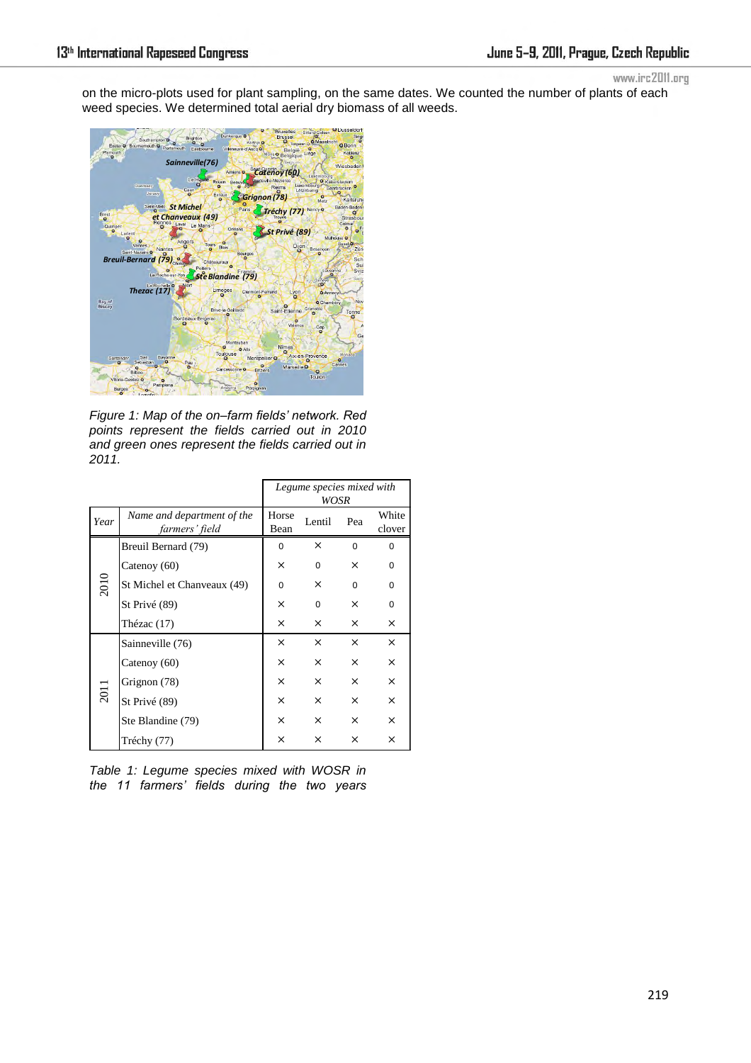on the micro-plots used for plant sampling, on the same dates. We counted the number of plants of each weed species. We determined total aerial dry biomass of all weeds.



*Figure 1: Map of the on–farm fields' network. Red points represent the fields carried out in 2010 and green ones represent the fields carried out in 2011.* 

|      |                                              | Legume species mixed with<br>WOSR |          |          |                 |
|------|----------------------------------------------|-----------------------------------|----------|----------|-----------------|
| Year | Name and department of the<br>farmers' field | Horse<br>Bean                     | Lentil   | Pea      | White<br>clover |
| 2010 | Breuil Bernard (79)                          | $\Omega$                          | $\times$ | $\Omega$ | 0               |
|      | Catenoy (60)                                 | $\times$                          | $\Omega$ | $\times$ | $\Omega$        |
|      | St Michel et Chanveaux (49)                  | $\Omega$                          | X        | $\Omega$ | 0               |
|      | St Privé (89)                                | ×                                 | $\Omega$ | $\times$ | $\Omega$        |
|      | Thézac (17)                                  | ×                                 | $\times$ | $\times$ | ×               |
| 2011 | Sainneville (76)                             | ×                                 | $\times$ | $\times$ | X               |
|      | Catenoy (60)                                 | ×                                 | $\times$ | $\times$ | $\times$        |
|      | Grignon (78)                                 | ×                                 | $\times$ | $\times$ | $\times$        |
|      | St Privé (89)                                | ×                                 | $\times$ | $\times$ | $\times$        |
|      | Ste Blandine (79)                            | ×                                 | X        | $\times$ | $\times$        |
|      | Tréchy (77)                                  | ×                                 | $\times$ | $\times$ | ×               |

*Table 1: Legume species mixed with WOSR in the 11 farmers' fields during the two years*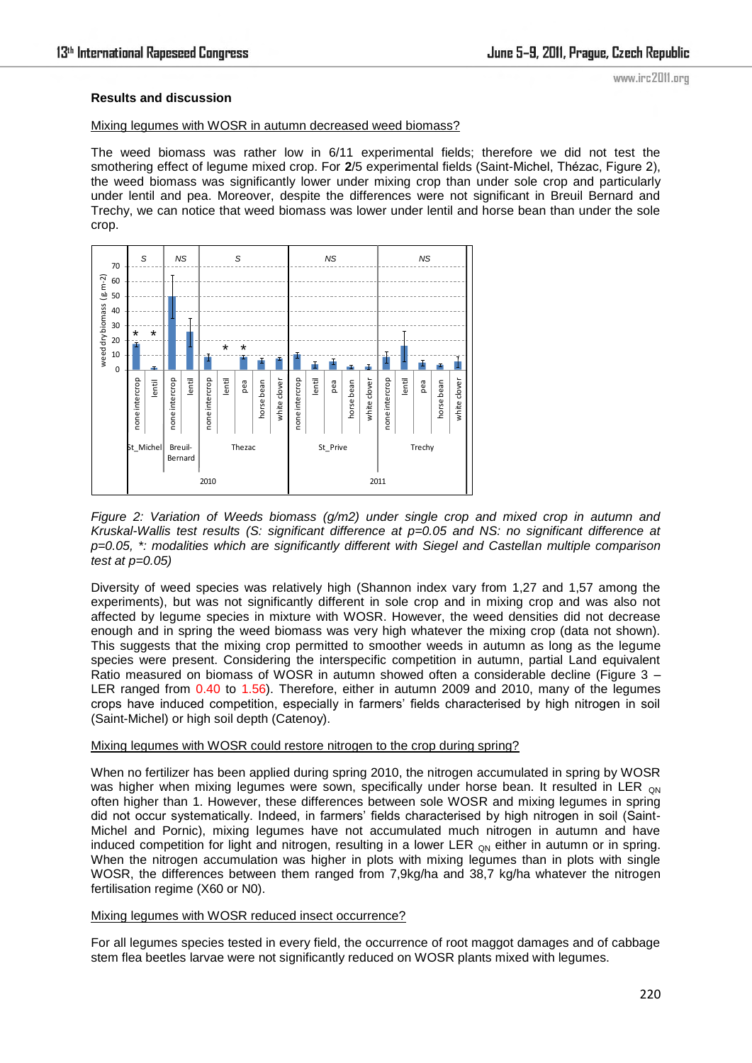## **Results and discussion**

#### Mixing legumes with WOSR in autumn decreased weed biomass?

The weed biomass was rather low in 6/11 experimental fields; therefore we did not test the smothering effect of legume mixed crop. For **2**/5 experimental fields (Saint-Michel, Thézac, Figure 2), the weed biomass was significantly lower under mixing crop than under sole crop and particularly under lentil and pea. Moreover, despite the differences were not significant in Breuil Bernard and Trechy, we can notice that weed biomass was lower under lentil and horse bean than under the sole crop.



*Figure 2: Variation of Weeds biomass (g/m2) under single crop and mixed crop in autumn and Kruskal-Wallis test results (S: significant difference at p=0.05 and NS: no significant difference at p=0.05, \*: modalities which are significantly different with Siegel and Castellan multiple comparison test at p=0.05)* 

Diversity of weed species was relatively high (Shannon index vary from 1,27 and 1,57 among the experiments), but was not significantly different in sole crop and in mixing crop and was also not affected by legume species in mixture with WOSR. However, the weed densities did not decrease enough and in spring the weed biomass was very high whatever the mixing crop (data not shown). This suggests that the mixing crop permitted to smoother weeds in autumn as long as the legume species were present. Considering the interspecific competition in autumn, partial Land equivalent Ratio measured on biomass of WOSR in autumn showed often a considerable decline (Figure 3 – LER ranged from 0.40 to 1.56). Therefore, either in autumn 2009 and 2010, many of the legumes crops have induced competition, especially in farmers' fields characterised by high nitrogen in soil (Saint-Michel) or high soil depth (Catenoy).

# Mixing legumes with WOSR could restore nitrogen to the crop during spring?

When no fertilizer has been applied during spring 2010, the nitrogen accumulated in spring by WOSR was higher when mixing legumes were sown, specifically under horse bean. It resulted in LER  $_{ON}$ often higher than 1. However, these differences between sole WOSR and mixing legumes in spring did not occur systematically. Indeed, in farmers' fields characterised by high nitrogen in soil (Saint-Michel and Pornic), mixing legumes have not accumulated much nitrogen in autumn and have induced competition for light and nitrogen, resulting in a lower LER  $_{QN}$  either in autumn or in spring. When the nitrogen accumulation was higher in plots with mixing legumes than in plots with single WOSR, the differences between them ranged from 7,9kg/ha and 38,7 kg/ha whatever the nitrogen fertilisation regime (X60 or N0).

#### Mixing legumes with WOSR reduced insect occurrence?

For all legumes species tested in every field, the occurrence of root maggot damages and of cabbage stem flea beetles larvae were not significantly reduced on WOSR plants mixed with legumes.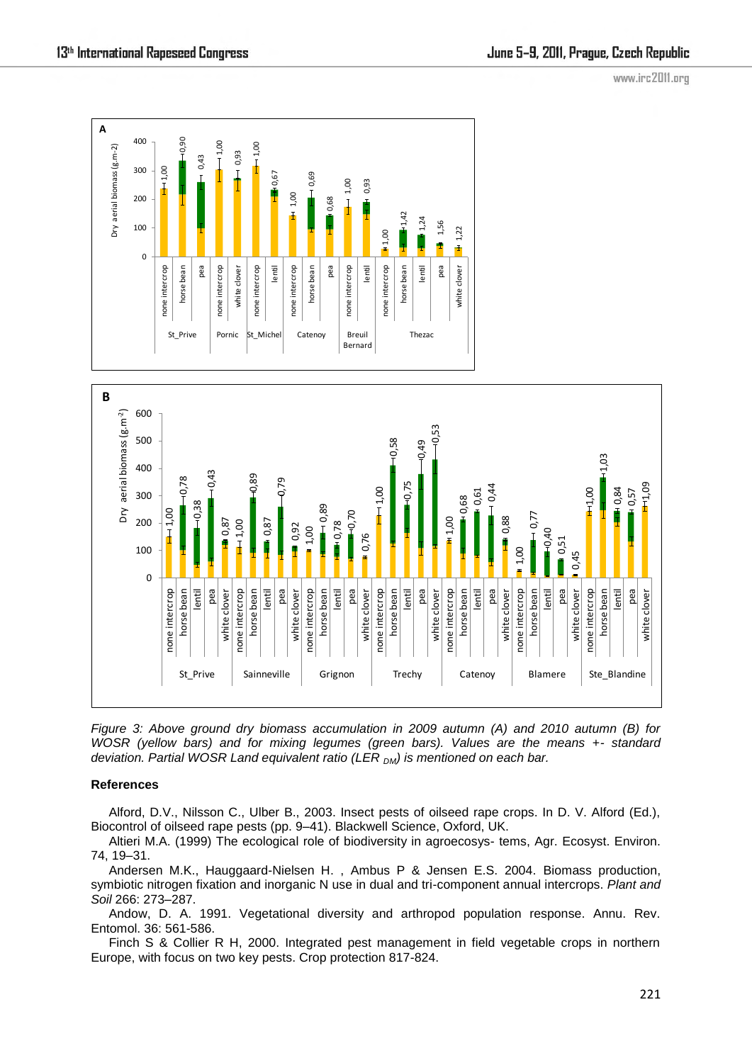

*Figure 3: Above ground dry biomass accumulation in 2009 autumn (A) and 2010 autumn (B) for WOSR (yellow bars) and for mixing legumes (green bars). Values are the means +- standard deviation. Partial WOSR Land equivalent ratio (LER DM) is mentioned on each bar.* 

# **References**

Alford, D.V., Nilsson C., Ulber B., 2003. Insect pests of oilseed rape crops. In D. V. Alford (Ed.), Biocontrol of oilseed rape pests (pp. 9–41). Blackwell Science, Oxford, UK.

Altieri M.A. (1999) The ecological role of biodiversity in agroecosys- tems, Agr. Ecosyst. Environ. 74, 19–31.

Andersen M.K., Hauggaard-Nielsen H. , Ambus P & Jensen E.S. 2004. Biomass production, symbiotic nitrogen fixation and inorganic N use in dual and tri-component annual intercrops. *Plant and Soil* 266: 273–287.

Andow, D. A. 1991. Vegetational diversity and arthropod population response. Annu. Rev. Entomol. 36: 561-586.

Finch S & Collier R H, 2000. Integrated pest management in field vegetable crops in northern Europe, with focus on two key pests. Crop protection 817-824.